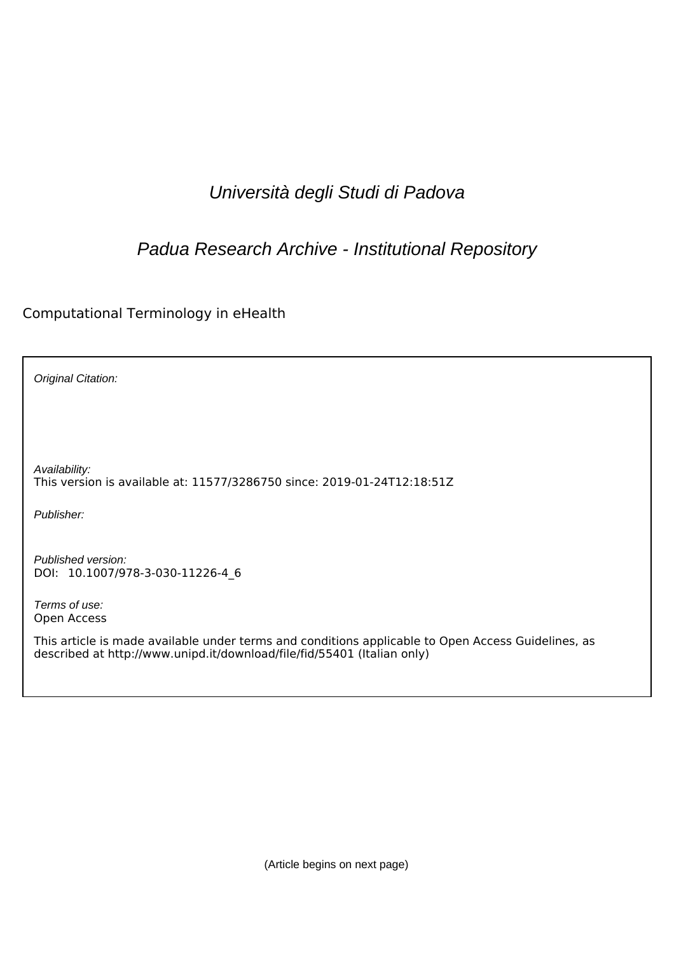# Università degli Studi di Padova

## Padua Research Archive - Institutional Repository

Computational Terminology in eHealth

Original Citation:

Availability: This version is available at: 11577/3286750 since: 2019-01-24T12:18:51Z

Publisher:

Published version: DOI: 10.1007/978-3-030-11226-4\_6

Terms of use: Open Access

This article is made available under terms and conditions applicable to Open Access Guidelines, as described at http://www.unipd.it/download/file/fid/55401 (Italian only)

(Article begins on next page)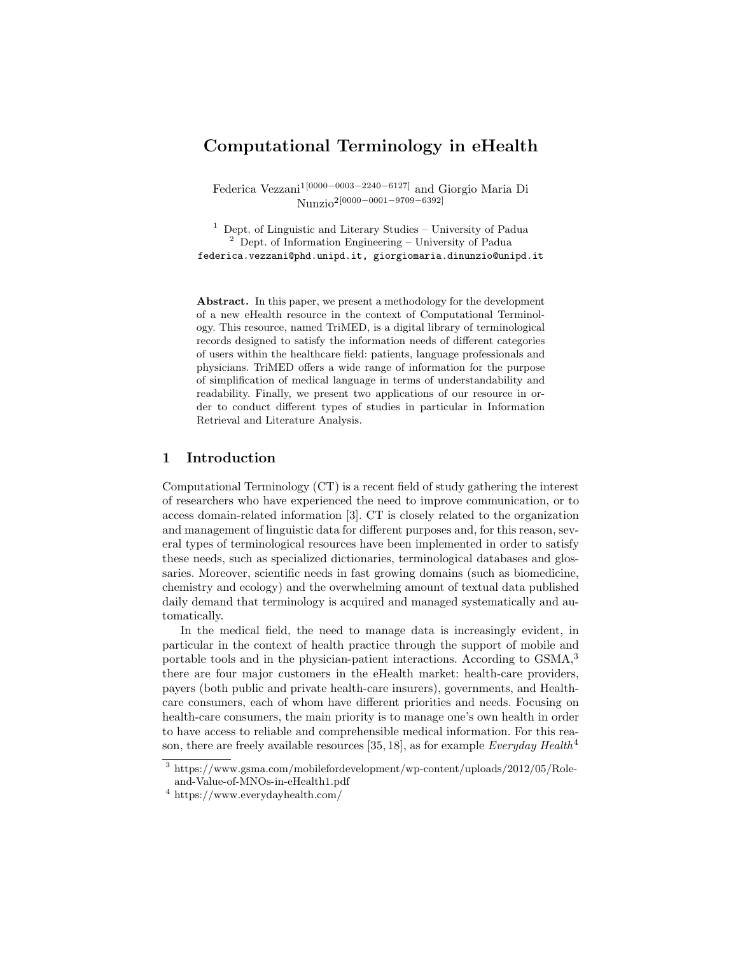## Computational Terminology in eHealth

Federica Vezzani1[0000−0003−2240−6127] and Giorgio Maria Di Nunzio2[0000−0001−9709−6392]

<sup>1</sup> Dept. of Linguistic and Literary Studies – University of Padua <sup>2</sup> Dept. of Information Engineering – University of Padua federica.vezzani@phd.unipd.it, giorgiomaria.dinunzio@unipd.it

Abstract. In this paper, we present a methodology for the development of a new eHealth resource in the context of Computational Terminology. This resource, named TriMED, is a digital library of terminological records designed to satisfy the information needs of different categories of users within the healthcare field: patients, language professionals and physicians. TriMED offers a wide range of information for the purpose of simplification of medical language in terms of understandability and readability. Finally, we present two applications of our resource in order to conduct different types of studies in particular in Information Retrieval and Literature Analysis.

## 1 Introduction

Computational Terminology (CT) is a recent field of study gathering the interest of researchers who have experienced the need to improve communication, or to access domain-related information [3]. CT is closely related to the organization and management of linguistic data for different purposes and, for this reason, several types of terminological resources have been implemented in order to satisfy these needs, such as specialized dictionaries, terminological databases and glossaries. Moreover, scientific needs in fast growing domains (such as biomedicine, chemistry and ecology) and the overwhelming amount of textual data published daily demand that terminology is acquired and managed systematically and automatically.

In the medical field, the need to manage data is increasingly evident, in particular in the context of health practice through the support of mobile and portable tools and in the physician-patient interactions. According to GSMA,<sup>3</sup> there are four major customers in the eHealth market: health-care providers, payers (both public and private health-care insurers), governments, and Healthcare consumers, each of whom have different priorities and needs. Focusing on health-care consumers, the main priority is to manage one's own health in order to have access to reliable and comprehensible medical information. For this reason, there are freely available resources [35, 18], as for example *Everyday Health*<sup>4</sup>

<sup>3</sup> https://www.gsma.com/mobilefordevelopment/wp-content/uploads/2012/05/Roleand-Value-of-MNOs-in-eHealth1.pdf

 $^4$ https://www.everydayhealth.com/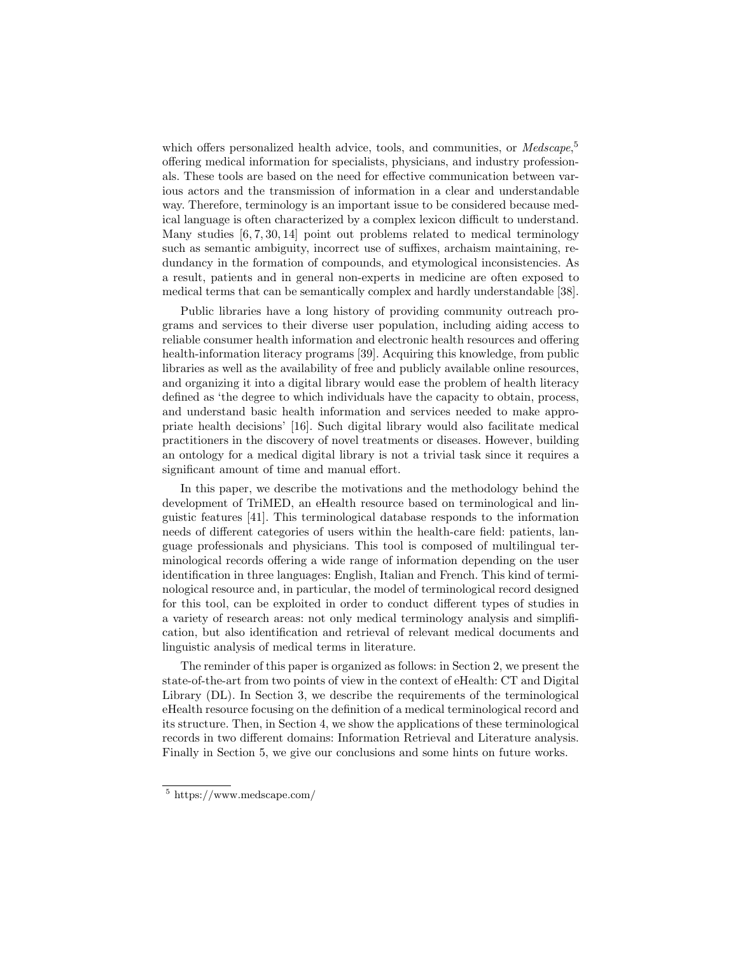which offers personalized health advice, tools, and communities, or Medscape,<sup>5</sup> offering medical information for specialists, physicians, and industry professionals. These tools are based on the need for effective communication between various actors and the transmission of information in a clear and understandable way. Therefore, terminology is an important issue to be considered because medical language is often characterized by a complex lexicon difficult to understand. Many studies [6, 7, 30, 14] point out problems related to medical terminology such as semantic ambiguity, incorrect use of suffixes, archaism maintaining, redundancy in the formation of compounds, and etymological inconsistencies. As a result, patients and in general non-experts in medicine are often exposed to medical terms that can be semantically complex and hardly understandable [38].

Public libraries have a long history of providing community outreach programs and services to their diverse user population, including aiding access to reliable consumer health information and electronic health resources and offering health-information literacy programs [39]. Acquiring this knowledge, from public libraries as well as the availability of free and publicly available online resources, and organizing it into a digital library would ease the problem of health literacy defined as 'the degree to which individuals have the capacity to obtain, process, and understand basic health information and services needed to make appropriate health decisions' [16]. Such digital library would also facilitate medical practitioners in the discovery of novel treatments or diseases. However, building an ontology for a medical digital library is not a trivial task since it requires a significant amount of time and manual effort.

In this paper, we describe the motivations and the methodology behind the development of TriMED, an eHealth resource based on terminological and linguistic features [41]. This terminological database responds to the information needs of different categories of users within the health-care field: patients, language professionals and physicians. This tool is composed of multilingual terminological records offering a wide range of information depending on the user identification in three languages: English, Italian and French. This kind of terminological resource and, in particular, the model of terminological record designed for this tool, can be exploited in order to conduct different types of studies in a variety of research areas: not only medical terminology analysis and simplification, but also identification and retrieval of relevant medical documents and linguistic analysis of medical terms in literature.

The reminder of this paper is organized as follows: in Section 2, we present the state-of-the-art from two points of view in the context of eHealth: CT and Digital Library (DL). In Section 3, we describe the requirements of the terminological eHealth resource focusing on the definition of a medical terminological record and its structure. Then, in Section 4, we show the applications of these terminological records in two different domains: Information Retrieval and Literature analysis. Finally in Section 5, we give our conclusions and some hints on future works.

<sup>5</sup> https://www.medscape.com/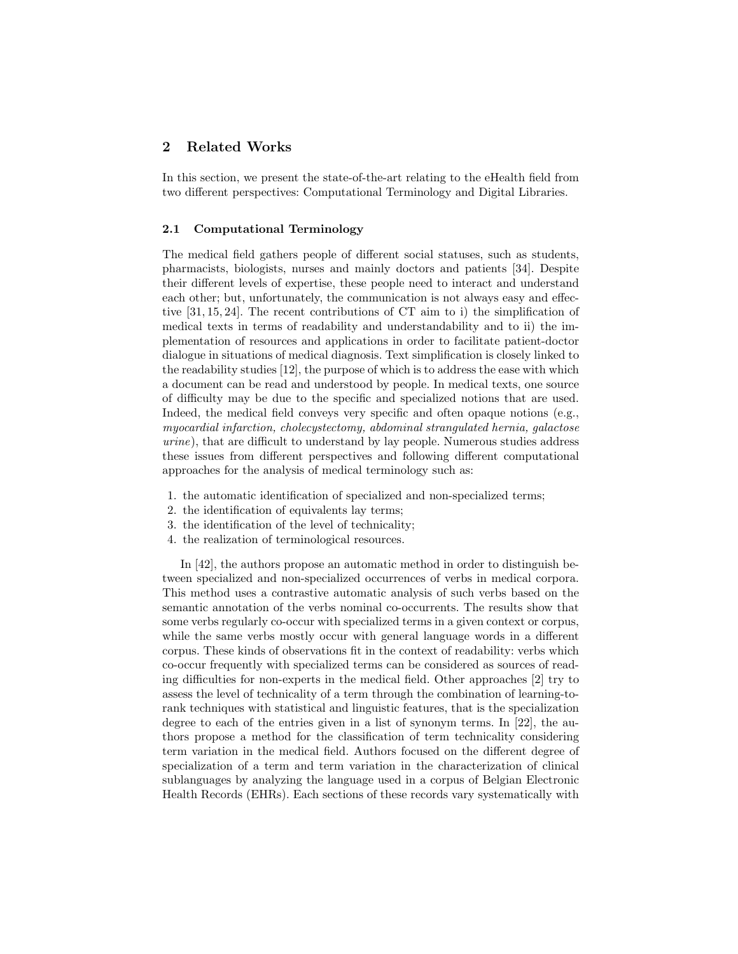## 2 Related Works

In this section, we present the state-of-the-art relating to the eHealth field from two different perspectives: Computational Terminology and Digital Libraries.

## 2.1 Computational Terminology

The medical field gathers people of different social statuses, such as students, pharmacists, biologists, nurses and mainly doctors and patients [34]. Despite their different levels of expertise, these people need to interact and understand each other; but, unfortunately, the communication is not always easy and effective [31, 15, 24]. The recent contributions of CT aim to i) the simplification of medical texts in terms of readability and understandability and to ii) the implementation of resources and applications in order to facilitate patient-doctor dialogue in situations of medical diagnosis. Text simplification is closely linked to the readability studies [12], the purpose of which is to address the ease with which a document can be read and understood by people. In medical texts, one source of difficulty may be due to the specific and specialized notions that are used. Indeed, the medical field conveys very specific and often opaque notions (e.g., myocardial infarction, cholecystectomy, abdominal strangulated hernia, galactose urine), that are difficult to understand by lay people. Numerous studies address these issues from different perspectives and following different computational approaches for the analysis of medical terminology such as:

- 1. the automatic identification of specialized and non-specialized terms;
- 2. the identification of equivalents lay terms;
- 3. the identification of the level of technicality;
- 4. the realization of terminological resources.

In [42], the authors propose an automatic method in order to distinguish between specialized and non-specialized occurrences of verbs in medical corpora. This method uses a contrastive automatic analysis of such verbs based on the semantic annotation of the verbs nominal co-occurrents. The results show that some verbs regularly co-occur with specialized terms in a given context or corpus, while the same verbs mostly occur with general language words in a different corpus. These kinds of observations fit in the context of readability: verbs which co-occur frequently with specialized terms can be considered as sources of reading difficulties for non-experts in the medical field. Other approaches [2] try to assess the level of technicality of a term through the combination of learning-torank techniques with statistical and linguistic features, that is the specialization degree to each of the entries given in a list of synonym terms. In [22], the authors propose a method for the classification of term technicality considering term variation in the medical field. Authors focused on the different degree of specialization of a term and term variation in the characterization of clinical sublanguages by analyzing the language used in a corpus of Belgian Electronic Health Records (EHRs). Each sections of these records vary systematically with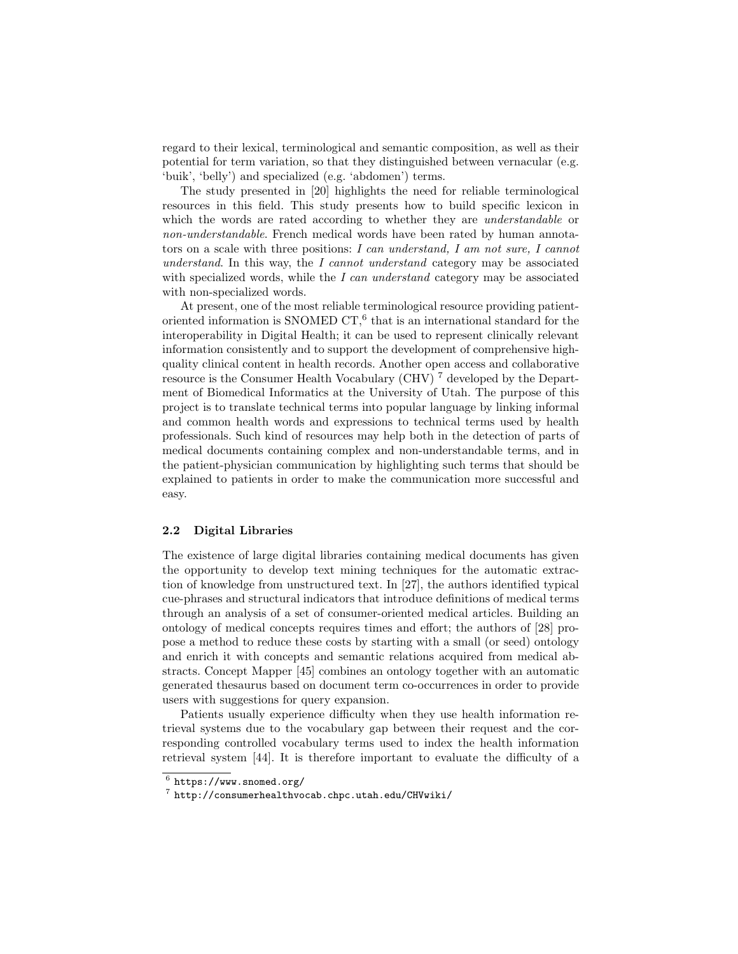regard to their lexical, terminological and semantic composition, as well as their potential for term variation, so that they distinguished between vernacular (e.g. 'buik', 'belly') and specialized (e.g. 'abdomen') terms.

The study presented in [20] highlights the need for reliable terminological resources in this field. This study presents how to build specific lexicon in which the words are rated according to whether they are *understandable* or non-understandable. French medical words have been rated by human annotators on a scale with three positions: I can understand, I am not sure, I cannot understand. In this way, the I cannot understand category may be associated with specialized words, while the  $I$  can understand category may be associated with non-specialized words.

At present, one of the most reliable terminological resource providing patientoriented information is SNOMED CT,<sup>6</sup> that is an international standard for the interoperability in Digital Health; it can be used to represent clinically relevant information consistently and to support the development of comprehensive highquality clinical content in health records. Another open access and collaborative resource is the Consumer Health Vocabulary (CHV) <sup>7</sup> developed by the Department of Biomedical Informatics at the University of Utah. The purpose of this project is to translate technical terms into popular language by linking informal and common health words and expressions to technical terms used by health professionals. Such kind of resources may help both in the detection of parts of medical documents containing complex and non-understandable terms, and in the patient-physician communication by highlighting such terms that should be explained to patients in order to make the communication more successful and easy.

#### 2.2 Digital Libraries

The existence of large digital libraries containing medical documents has given the opportunity to develop text mining techniques for the automatic extraction of knowledge from unstructured text. In [27], the authors identified typical cue-phrases and structural indicators that introduce definitions of medical terms through an analysis of a set of consumer-oriented medical articles. Building an ontology of medical concepts requires times and effort; the authors of [28] propose a method to reduce these costs by starting with a small (or seed) ontology and enrich it with concepts and semantic relations acquired from medical abstracts. Concept Mapper [45] combines an ontology together with an automatic generated thesaurus based on document term co-occurrences in order to provide users with suggestions for query expansion.

Patients usually experience difficulty when they use health information retrieval systems due to the vocabulary gap between their request and the corresponding controlled vocabulary terms used to index the health information retrieval system [44]. It is therefore important to evaluate the difficulty of a

 $^6$  https://www.snomed.org/

 $\frac{7}{7}$  http://consumerhealthvocab.chpc.utah.edu/CHVwiki/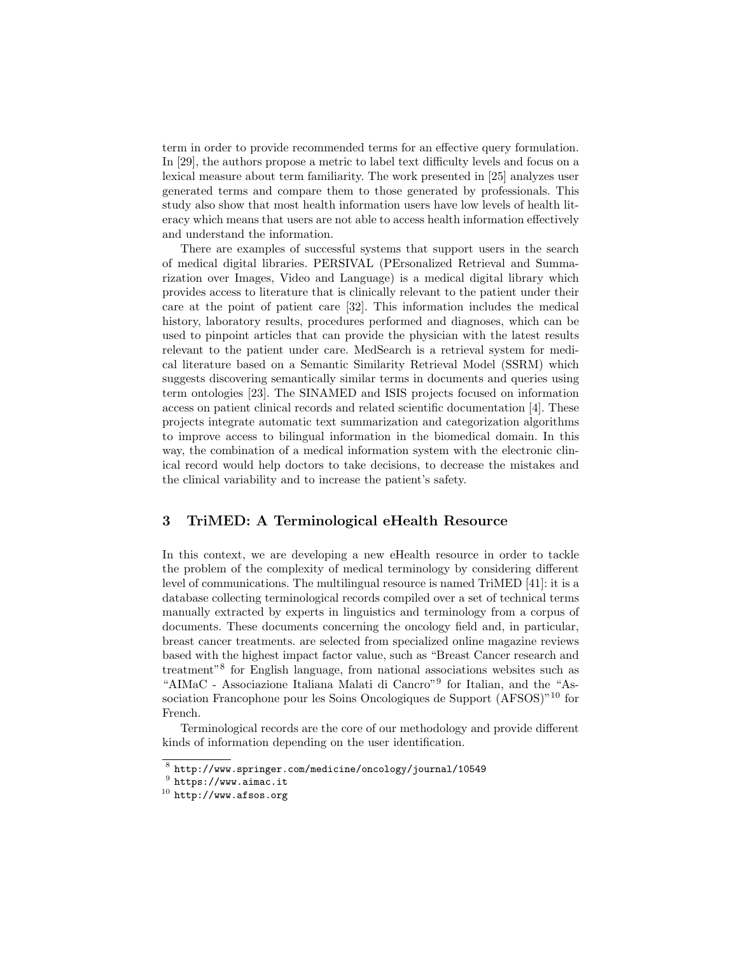term in order to provide recommended terms for an effective query formulation. In [29], the authors propose a metric to label text difficulty levels and focus on a lexical measure about term familiarity. The work presented in [25] analyzes user generated terms and compare them to those generated by professionals. This study also show that most health information users have low levels of health literacy which means that users are not able to access health information effectively and understand the information.

There are examples of successful systems that support users in the search of medical digital libraries. PERSIVAL (PErsonalized Retrieval and Summarization over Images, Video and Language) is a medical digital library which provides access to literature that is clinically relevant to the patient under their care at the point of patient care [32]. This information includes the medical history, laboratory results, procedures performed and diagnoses, which can be used to pinpoint articles that can provide the physician with the latest results relevant to the patient under care. MedSearch is a retrieval system for medical literature based on a Semantic Similarity Retrieval Model (SSRM) which suggests discovering semantically similar terms in documents and queries using term ontologies [23]. The SINAMED and ISIS projects focused on information access on patient clinical records and related scientific documentation [4]. These projects integrate automatic text summarization and categorization algorithms to improve access to bilingual information in the biomedical domain. In this way, the combination of a medical information system with the electronic clinical record would help doctors to take decisions, to decrease the mistakes and the clinical variability and to increase the patient's safety.

## 3 TriMED: A Terminological eHealth Resource

In this context, we are developing a new eHealth resource in order to tackle the problem of the complexity of medical terminology by considering different level of communications. The multilingual resource is named TriMED [41]: it is a database collecting terminological records compiled over a set of technical terms manually extracted by experts in linguistics and terminology from a corpus of documents. These documents concerning the oncology field and, in particular, breast cancer treatments. are selected from specialized online magazine reviews based with the highest impact factor value, such as "Breast Cancer research and treatment"<sup>8</sup> for English language, from national associations websites such as "AIMaC - Associazione Italiana Malati di Cancro"<sup>9</sup> for Italian, and the "Association Francophone pour les Soins Oncologiques de Support (AFSOS)<sup>"10</sup> for French.

Terminological records are the core of our methodology and provide different kinds of information depending on the user identification.

<sup>8</sup> http://www.springer.com/medicine/oncology/journal/10549

 $^9$  https://www.aimac.it

 $10$  http://www.afsos.org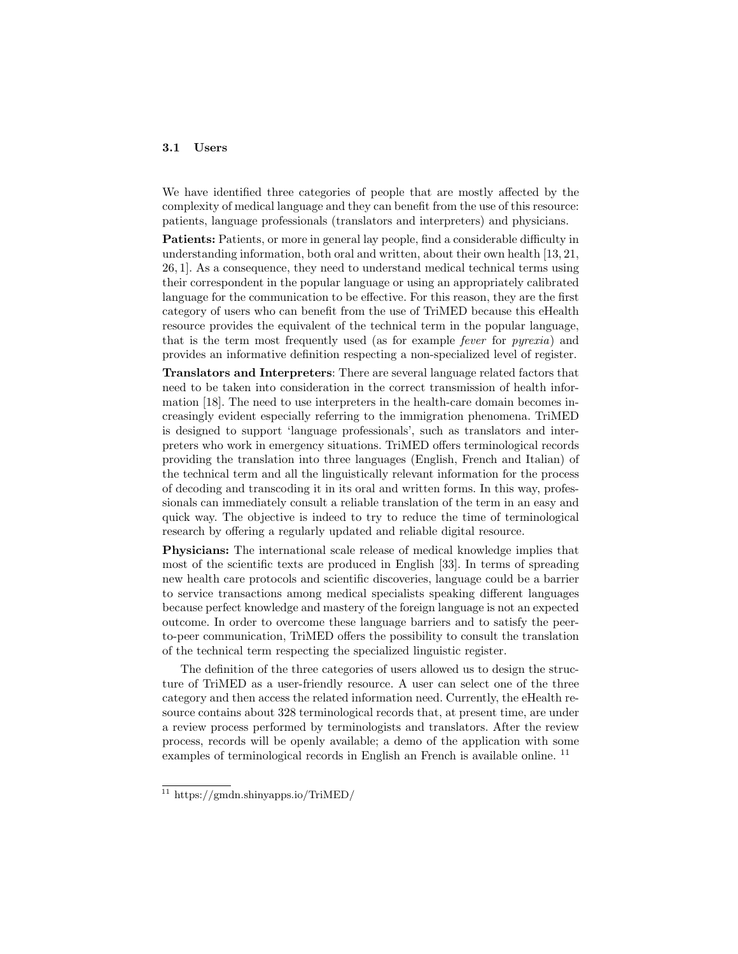#### 3.1 Users

We have identified three categories of people that are mostly affected by the complexity of medical language and they can benefit from the use of this resource: patients, language professionals (translators and interpreters) and physicians.

Patients: Patients, or more in general lay people, find a considerable difficulty in understanding information, both oral and written, about their own health [13, 21, 26, 1]. As a consequence, they need to understand medical technical terms using their correspondent in the popular language or using an appropriately calibrated language for the communication to be effective. For this reason, they are the first category of users who can benefit from the use of TriMED because this eHealth resource provides the equivalent of the technical term in the popular language, that is the term most frequently used (as for example fever for pyrexia) and provides an informative definition respecting a non-specialized level of register.

Translators and Interpreters: There are several language related factors that need to be taken into consideration in the correct transmission of health information [18]. The need to use interpreters in the health-care domain becomes increasingly evident especially referring to the immigration phenomena. TriMED is designed to support 'language professionals', such as translators and interpreters who work in emergency situations. TriMED offers terminological records providing the translation into three languages (English, French and Italian) of the technical term and all the linguistically relevant information for the process of decoding and transcoding it in its oral and written forms. In this way, professionals can immediately consult a reliable translation of the term in an easy and quick way. The objective is indeed to try to reduce the time of terminological research by offering a regularly updated and reliable digital resource.

Physicians: The international scale release of medical knowledge implies that most of the scientific texts are produced in English [33]. In terms of spreading new health care protocols and scientific discoveries, language could be a barrier to service transactions among medical specialists speaking different languages because perfect knowledge and mastery of the foreign language is not an expected outcome. In order to overcome these language barriers and to satisfy the peerto-peer communication, TriMED offers the possibility to consult the translation of the technical term respecting the specialized linguistic register.

The definition of the three categories of users allowed us to design the structure of TriMED as a user-friendly resource. A user can select one of the three category and then access the related information need. Currently, the eHealth resource contains about 328 terminological records that, at present time, are under a review process performed by terminologists and translators. After the review process, records will be openly available; a demo of the application with some examples of terminological records in English an French is available online.<sup>11</sup>

 $11$  https://gmdn.shinyapps.io/TriMED/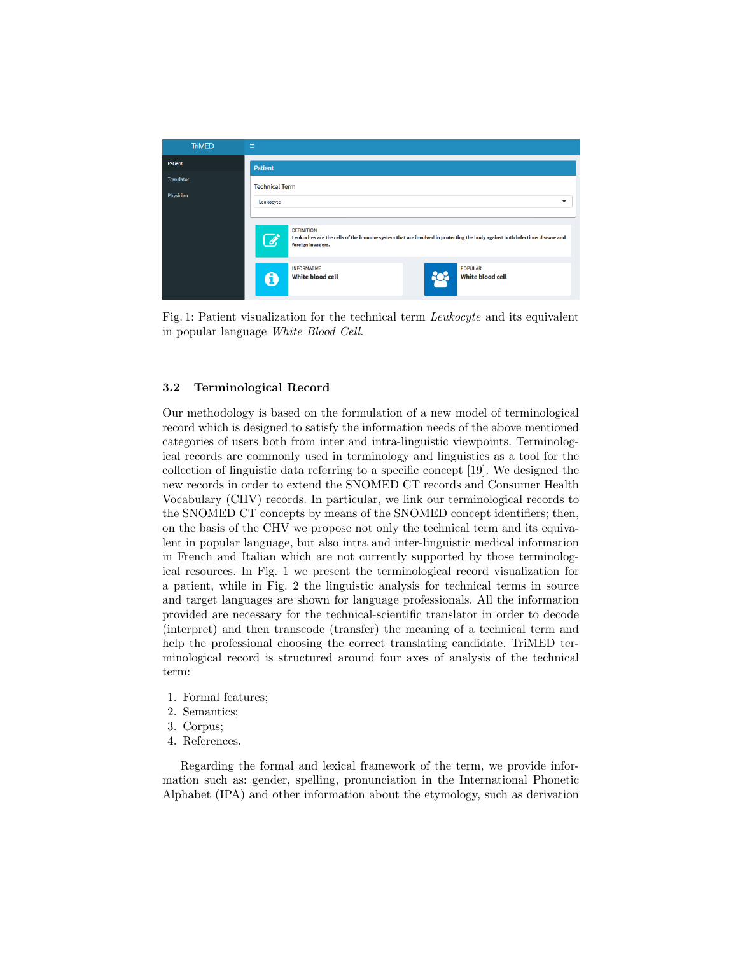| <b>TriMED</b>           | $\equiv$                                                                                                                                                                                     |
|-------------------------|----------------------------------------------------------------------------------------------------------------------------------------------------------------------------------------------|
| Patient                 | <b>Patient</b>                                                                                                                                                                               |
| Translator<br>Physician | <b>Technical Term</b><br>Leukocyte<br>$\checkmark$                                                                                                                                           |
|                         | <b>DEFINITION</b><br>$\overrightarrow{d}$<br>Leukocites are the cells of the immune system that are involved in protecting the body against both infectious disease and<br>foreign invaders. |
|                         | <b>POPULAR</b><br><b>INFORMATIVE</b><br><b>White blood cell</b><br><b>White blood cell</b>                                                                                                   |

Fig. 1: Patient visualization for the technical term Leukocyte and its equivalent in popular language White Blood Cell.

### 3.2 Terminological Record

Our methodology is based on the formulation of a new model of terminological record which is designed to satisfy the information needs of the above mentioned categories of users both from inter and intra-linguistic viewpoints. Terminological records are commonly used in terminology and linguistics as a tool for the collection of linguistic data referring to a specific concept [19]. We designed the new records in order to extend the SNOMED CT records and Consumer Health Vocabulary (CHV) records. In particular, we link our terminological records to the SNOMED CT concepts by means of the SNOMED concept identifiers; then, on the basis of the CHV we propose not only the technical term and its equivalent in popular language, but also intra and inter-linguistic medical information in French and Italian which are not currently supported by those terminological resources. In Fig. 1 we present the terminological record visualization for a patient, while in Fig. 2 the linguistic analysis for technical terms in source and target languages are shown for language professionals. All the information provided are necessary for the technical-scientific translator in order to decode (interpret) and then transcode (transfer) the meaning of a technical term and help the professional choosing the correct translating candidate. TriMED terminological record is structured around four axes of analysis of the technical term:

- 1. Formal features;
- 2. Semantics;
- 3. Corpus;
- 4. References.

Regarding the formal and lexical framework of the term, we provide information such as: gender, spelling, pronunciation in the International Phonetic Alphabet (IPA) and other information about the etymology, such as derivation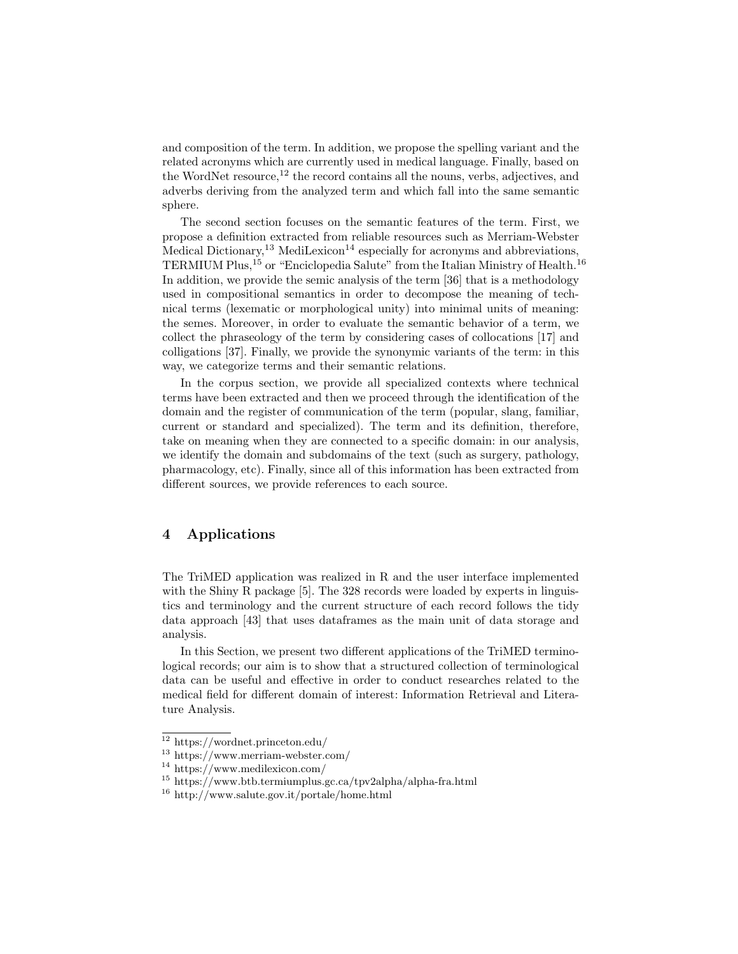and composition of the term. In addition, we propose the spelling variant and the related acronyms which are currently used in medical language. Finally, based on the WordNet resource,<sup>12</sup> the record contains all the nouns, verbs, adjectives, and adverbs deriving from the analyzed term and which fall into the same semantic sphere.

The second section focuses on the semantic features of the term. First, we propose a definition extracted from reliable resources such as Merriam-Webster Medical Dictionary,<sup>13</sup> MediLexicon<sup>14</sup> especially for acronyms and abbreviations, TERMIUM Plus,<sup>15</sup> or "Enciclopedia Salute" from the Italian Ministry of Health.<sup>16</sup> In addition, we provide the semic analysis of the term [36] that is a methodology used in compositional semantics in order to decompose the meaning of technical terms (lexematic or morphological unity) into minimal units of meaning: the semes. Moreover, in order to evaluate the semantic behavior of a term, we collect the phraseology of the term by considering cases of collocations [17] and colligations [37]. Finally, we provide the synonymic variants of the term: in this way, we categorize terms and their semantic relations.

In the corpus section, we provide all specialized contexts where technical terms have been extracted and then we proceed through the identification of the domain and the register of communication of the term (popular, slang, familiar, current or standard and specialized). The term and its definition, therefore, take on meaning when they are connected to a specific domain: in our analysis, we identify the domain and subdomains of the text (such as surgery, pathology, pharmacology, etc). Finally, since all of this information has been extracted from different sources, we provide references to each source.

## 4 Applications

The TriMED application was realized in R and the user interface implemented with the Shiny R package [5]. The 328 records were loaded by experts in linguistics and terminology and the current structure of each record follows the tidy data approach [43] that uses dataframes as the main unit of data storage and analysis.

In this Section, we present two different applications of the TriMED terminological records; our aim is to show that a structured collection of terminological data can be useful and effective in order to conduct researches related to the medical field for different domain of interest: Information Retrieval and Literature Analysis.

<sup>12</sup> https://wordnet.princeton.edu/

<sup>13</sup> https://www.merriam-webster.com/

<sup>14</sup> https://www.medilexicon.com/

<sup>15</sup> https://www.btb.termiumplus.gc.ca/tpv2alpha/alpha-fra.html

<sup>16</sup> http://www.salute.gov.it/portale/home.html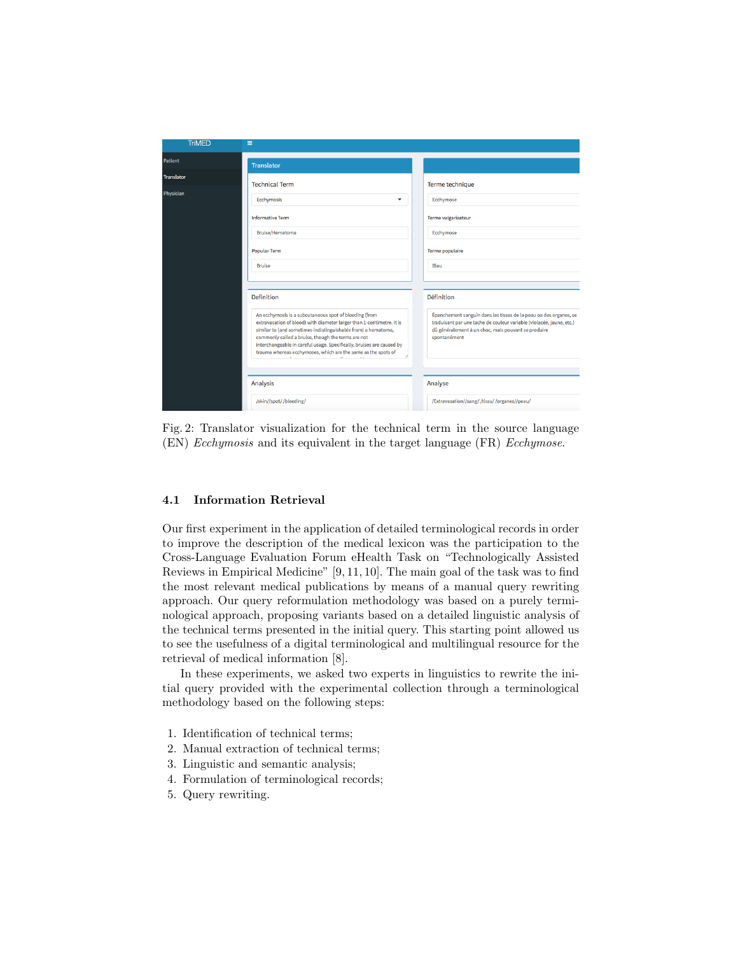| <b>TriMED</b>     | Ξ                                                                                                                                                                                                                                                                                                                                                                                                     |                                                                                                                                                                                                                  |
|-------------------|-------------------------------------------------------------------------------------------------------------------------------------------------------------------------------------------------------------------------------------------------------------------------------------------------------------------------------------------------------------------------------------------------------|------------------------------------------------------------------------------------------------------------------------------------------------------------------------------------------------------------------|
| Patient           | <b>Translator</b>                                                                                                                                                                                                                                                                                                                                                                                     |                                                                                                                                                                                                                  |
| <b>Translator</b> | <b>Technical Term</b>                                                                                                                                                                                                                                                                                                                                                                                 | Terme technique                                                                                                                                                                                                  |
| Physician         | Ecchymosis<br>۰                                                                                                                                                                                                                                                                                                                                                                                       | Ecchymose                                                                                                                                                                                                        |
|                   | <b>Informative Term</b>                                                                                                                                                                                                                                                                                                                                                                               | Terme vulgarisateur                                                                                                                                                                                              |
|                   | Bruise/Hematoma                                                                                                                                                                                                                                                                                                                                                                                       | Ecchymose                                                                                                                                                                                                        |
|                   | <b>Popular Term</b>                                                                                                                                                                                                                                                                                                                                                                                   | Terme populaire                                                                                                                                                                                                  |
|                   | <b>Bruise</b>                                                                                                                                                                                                                                                                                                                                                                                         | Bleu                                                                                                                                                                                                             |
|                   |                                                                                                                                                                                                                                                                                                                                                                                                       |                                                                                                                                                                                                                  |
|                   | Definition                                                                                                                                                                                                                                                                                                                                                                                            | Définition                                                                                                                                                                                                       |
|                   | An ecchymosis is a subcutaneous spot of bleeding (from<br>extravasation of blood) with diameter larger than 1-centimetre. It is<br>similar to (and sometimes indistinguishable from) a hematoma,<br>commonly called a bruise, though the terms are not<br>interchangeable in careful usage. Specifically, bruises are caused by<br>trauma whereas ecchymoses, which are the same as the spots of<br>í | Épanchement sanguin dans les tissus de la peau ou des organes, se<br>traduisant par une tache de couleur variable (violacée, jaune, etc.)<br>dû généralement à un choc, mais pouvant se produire<br>spontanément |
|                   | Analysis                                                                                                                                                                                                                                                                                                                                                                                              | Analyse                                                                                                                                                                                                          |
|                   | /skin//spot//bleeding/                                                                                                                                                                                                                                                                                                                                                                                | /Extravasation//sang//tissu//organes//peau/                                                                                                                                                                      |

Fig. 2: Translator visualization for the technical term in the source language (EN) Ecchymosis and its equivalent in the target language (FR) Ecchymose.

### 4.1 Information Retrieval

Our first experiment in the application of detailed terminological records in order to improve the description of the medical lexicon was the participation to the Cross-Language Evaluation Forum eHealth Task on "Technologically Assisted Reviews in Empirical Medicine" [9, 11, 10]. The main goal of the task was to find the most relevant medical publications by means of a manual query rewriting approach. Our query reformulation methodology was based on a purely terminological approach, proposing variants based on a detailed linguistic analysis of the technical terms presented in the initial query. This starting point allowed us to see the usefulness of a digital terminological and multilingual resource for the retrieval of medical information [8].

In these experiments, we asked two experts in linguistics to rewrite the initial query provided with the experimental collection through a terminological methodology based on the following steps:

- 1. Identification of technical terms;
- 2. Manual extraction of technical terms;
- 3. Linguistic and semantic analysis;
- 4. Formulation of terminological records;
- 5. Query rewriting.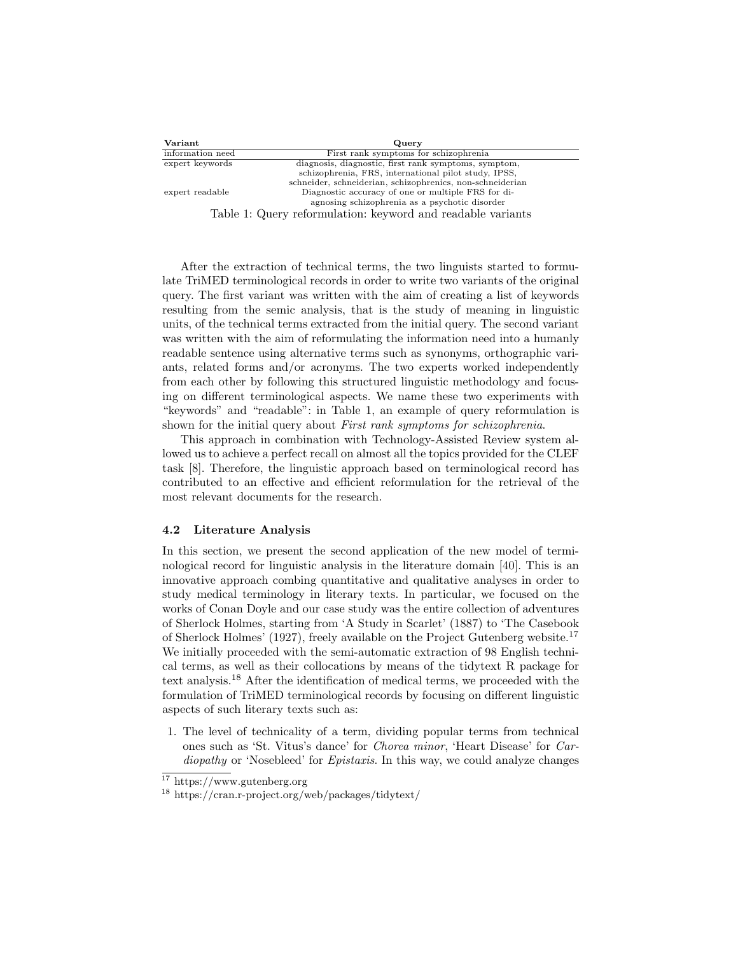| Variant          | Query                                                       |
|------------------|-------------------------------------------------------------|
| information need | First rank symptoms for schizophrenia                       |
| expert keywords  | diagnosis, diagnostic, first rank symptoms, symptom,        |
|                  | schizophrenia, FRS, international pilot study, IPSS,        |
|                  | schneider, schneiderian, schizophrenics, non-schneiderian   |
| expert readable  | Diagnostic accuracy of one or multiple FRS for di-          |
|                  | agnosing schizophrenia as a psychotic disorder              |
|                  | Table 1: Query reformulation: keyword and readable variants |

After the extraction of technical terms, the two linguists started to formulate TriMED terminological records in order to write two variants of the original query. The first variant was written with the aim of creating a list of keywords resulting from the semic analysis, that is the study of meaning in linguistic units, of the technical terms extracted from the initial query. The second variant was written with the aim of reformulating the information need into a humanly readable sentence using alternative terms such as synonyms, orthographic variants, related forms and/or acronyms. The two experts worked independently from each other by following this structured linguistic methodology and focusing on different terminological aspects. We name these two experiments with "keywords" and "readable": in Table 1, an example of query reformulation is shown for the initial query about First rank symptoms for schizophrenia.

This approach in combination with Technology-Assisted Review system allowed us to achieve a perfect recall on almost all the topics provided for the CLEF task [8]. Therefore, the linguistic approach based on terminological record has contributed to an effective and efficient reformulation for the retrieval of the most relevant documents for the research.

#### 4.2 Literature Analysis

In this section, we present the second application of the new model of terminological record for linguistic analysis in the literature domain [40]. This is an innovative approach combing quantitative and qualitative analyses in order to study medical terminology in literary texts. In particular, we focused on the works of Conan Doyle and our case study was the entire collection of adventures of Sherlock Holmes, starting from 'A Study in Scarlet' (1887) to 'The Casebook of Sherlock Holmes' (1927), freely available on the Project Gutenberg website.<sup>17</sup> We initially proceeded with the semi-automatic extraction of 98 English technical terms, as well as their collocations by means of the tidytext R package for text analysis.<sup>18</sup> After the identification of medical terms, we proceeded with the formulation of TriMED terminological records by focusing on different linguistic aspects of such literary texts such as:

1. The level of technicality of a term, dividing popular terms from technical ones such as 'St. Vitus's dance' for Chorea minor, 'Heart Disease' for Cardiopathy or 'Nosebleed' for *Epistaxis*. In this way, we could analyze changes

<sup>17</sup> https://www.gutenberg.org

<sup>18</sup> https://cran.r-project.org/web/packages/tidytext/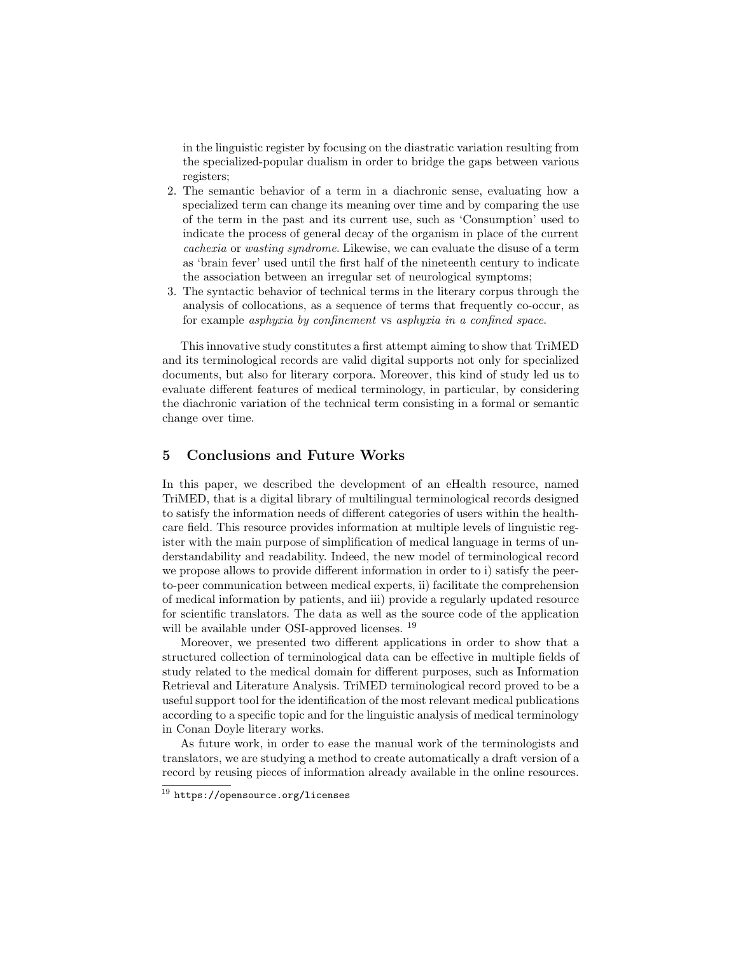in the linguistic register by focusing on the diastratic variation resulting from the specialized-popular dualism in order to bridge the gaps between various registers;

- 2. The semantic behavior of a term in a diachronic sense, evaluating how a specialized term can change its meaning over time and by comparing the use of the term in the past and its current use, such as 'Consumption' used to indicate the process of general decay of the organism in place of the current cachexia or wasting syndrome. Likewise, we can evaluate the disuse of a term as 'brain fever' used until the first half of the nineteenth century to indicate the association between an irregular set of neurological symptoms;
- 3. The syntactic behavior of technical terms in the literary corpus through the analysis of collocations, as a sequence of terms that frequently co-occur, as for example asphyxia by confinement vs asphyxia in a confined space.

This innovative study constitutes a first attempt aiming to show that TriMED and its terminological records are valid digital supports not only for specialized documents, but also for literary corpora. Moreover, this kind of study led us to evaluate different features of medical terminology, in particular, by considering the diachronic variation of the technical term consisting in a formal or semantic change over time.

## 5 Conclusions and Future Works

In this paper, we described the development of an eHealth resource, named TriMED, that is a digital library of multilingual terminological records designed to satisfy the information needs of different categories of users within the healthcare field. This resource provides information at multiple levels of linguistic register with the main purpose of simplification of medical language in terms of understandability and readability. Indeed, the new model of terminological record we propose allows to provide different information in order to i) satisfy the peerto-peer communication between medical experts, ii) facilitate the comprehension of medical information by patients, and iii) provide a regularly updated resource for scientific translators. The data as well as the source code of the application will be available under OSI-approved licenses.  $^{\rm 19}$ 

Moreover, we presented two different applications in order to show that a structured collection of terminological data can be effective in multiple fields of study related to the medical domain for different purposes, such as Information Retrieval and Literature Analysis. TriMED terminological record proved to be a useful support tool for the identification of the most relevant medical publications according to a specific topic and for the linguistic analysis of medical terminology in Conan Doyle literary works.

As future work, in order to ease the manual work of the terminologists and translators, we are studying a method to create automatically a draft version of a record by reusing pieces of information already available in the online resources.

 $^{19}$  https://opensource.org/licenses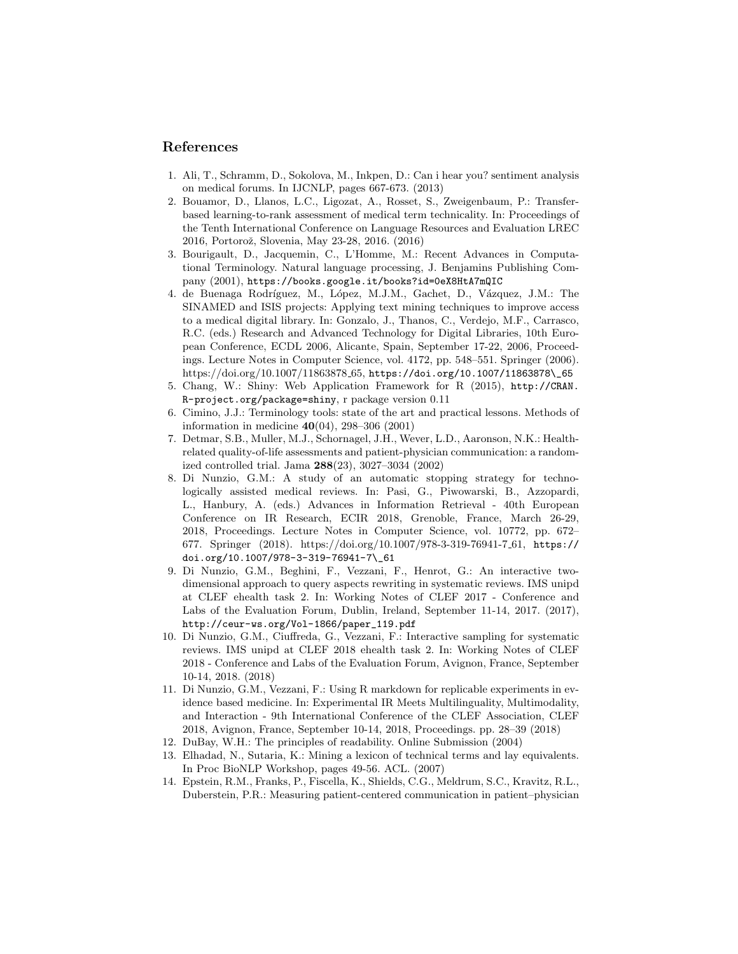## References

- 1. Ali, T., Schramm, D., Sokolova, M., Inkpen, D.: Can i hear you? sentiment analysis on medical forums. In IJCNLP, pages 667-673. (2013)
- 2. Bouamor, D., Llanos, L.C., Ligozat, A., Rosset, S., Zweigenbaum, P.: Transferbased learning-to-rank assessment of medical term technicality. In: Proceedings of the Tenth International Conference on Language Resources and Evaluation LREC 2016, Portoroˇz, Slovenia, May 23-28, 2016. (2016)
- 3. Bourigault, D., Jacquemin, C., L'Homme, M.: Recent Advances in Computational Terminology. Natural language processing, J. Benjamins Publishing Company (2001), https://books.google.it/books?id=0eX8HtA7mQIC
- 4. de Buenaga Rodríguez, M., López, M.J.M., Gachet, D., Vázquez, J.M.: The SINAMED and ISIS projects: Applying text mining techniques to improve access to a medical digital library. In: Gonzalo, J., Thanos, C., Verdejo, M.F., Carrasco, R.C. (eds.) Research and Advanced Technology for Digital Libraries, 10th European Conference, ECDL 2006, Alicante, Spain, September 17-22, 2006, Proceedings. Lecture Notes in Computer Science, vol. 4172, pp. 548–551. Springer (2006). https://doi.org/10.1007/11863878 65, https://doi.org/10.1007/11863878\\_65
- 5. Chang, W.: Shiny: Web Application Framework for R (2015), http://CRAN. R-project.org/package=shiny, r package version 0.11
- 6. Cimino, J.J.: Terminology tools: state of the art and practical lessons. Methods of information in medicine 40(04), 298–306 (2001)
- 7. Detmar, S.B., Muller, M.J., Schornagel, J.H., Wever, L.D., Aaronson, N.K.: Healthrelated quality-of-life assessments and patient-physician communication: a randomized controlled trial. Jama 288(23), 3027–3034 (2002)
- 8. Di Nunzio, G.M.: A study of an automatic stopping strategy for technologically assisted medical reviews. In: Pasi, G., Piwowarski, B., Azzopardi, L., Hanbury, A. (eds.) Advances in Information Retrieval - 40th European Conference on IR Research, ECIR 2018, Grenoble, France, March 26-29, 2018, Proceedings. Lecture Notes in Computer Science, vol. 10772, pp. 672– 677. Springer (2018). https://doi.org/10.1007/978-3-319-76941-7 61, https:// doi.org/10.1007/978-3-319-76941-7\\_61
- 9. Di Nunzio, G.M., Beghini, F., Vezzani, F., Henrot, G.: An interactive twodimensional approach to query aspects rewriting in systematic reviews. IMS unipd at CLEF ehealth task 2. In: Working Notes of CLEF 2017 - Conference and Labs of the Evaluation Forum, Dublin, Ireland, September 11-14, 2017. (2017), http://ceur-ws.org/Vol-1866/paper\_119.pdf
- 10. Di Nunzio, G.M., Ciuffreda, G., Vezzani, F.: Interactive sampling for systematic reviews. IMS unipd at CLEF 2018 ehealth task 2. In: Working Notes of CLEF 2018 - Conference and Labs of the Evaluation Forum, Avignon, France, September 10-14, 2018. (2018)
- 11. Di Nunzio, G.M., Vezzani, F.: Using R markdown for replicable experiments in evidence based medicine. In: Experimental IR Meets Multilinguality, Multimodality, and Interaction - 9th International Conference of the CLEF Association, CLEF 2018, Avignon, France, September 10-14, 2018, Proceedings. pp. 28–39 (2018)
- 12. DuBay, W.H.: The principles of readability. Online Submission (2004)
- 13. Elhadad, N., Sutaria, K.: Mining a lexicon of technical terms and lay equivalents. In Proc BioNLP Workshop, pages 49-56. ACL. (2007)
- 14. Epstein, R.M., Franks, P., Fiscella, K., Shields, C.G., Meldrum, S.C., Kravitz, R.L., Duberstein, P.R.: Measuring patient-centered communication in patient–physician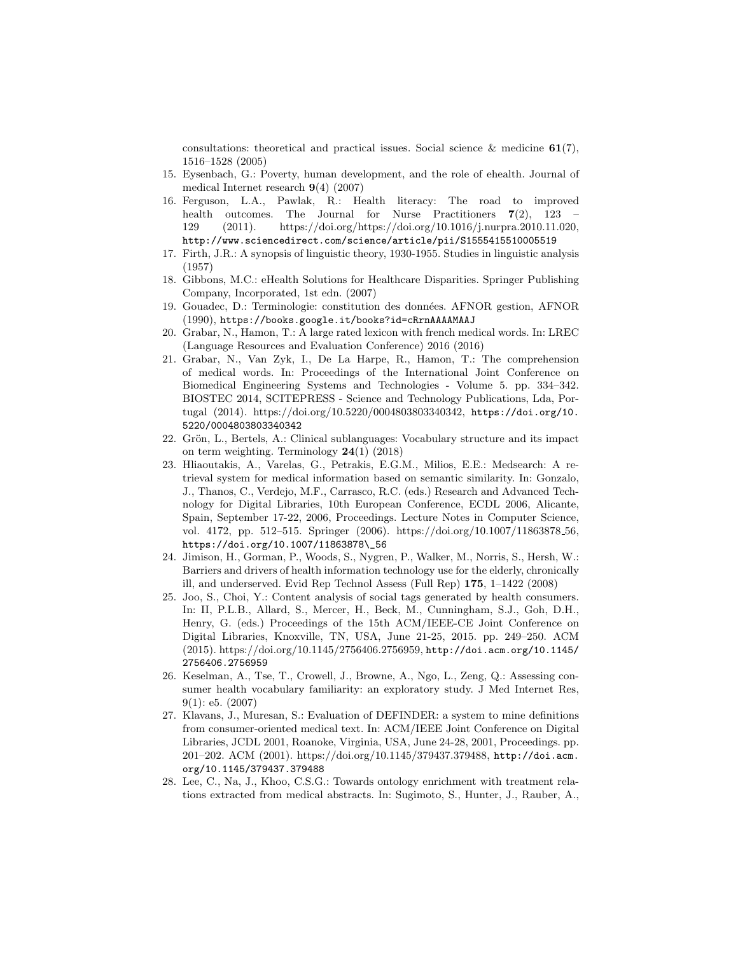consultations: theoretical and practical issues. Social science & medicine  $61(7)$ , 1516–1528 (2005)

- 15. Eysenbach, G.: Poverty, human development, and the role of ehealth. Journal of medical Internet research 9(4) (2007)
- 16. Ferguson, L.A., Pawlak, R.: Health literacy: The road to improved health outcomes. The Journal for Nurse Practitioners  $7(2)$ , 123 129 (2011). https://doi.org/https://doi.org/10.1016/j.nurpra.2010.11.020, http://www.sciencedirect.com/science/article/pii/S1555415510005519
- 17. Firth, J.R.: A synopsis of linguistic theory, 1930-1955. Studies in linguistic analysis (1957)
- 18. Gibbons, M.C.: eHealth Solutions for Healthcare Disparities. Springer Publishing Company, Incorporated, 1st edn. (2007)
- 19. Gouadec, D.: Terminologie: constitution des données. AFNOR gestion, AFNOR (1990), https://books.google.it/books?id=cRrnAAAAMAAJ
- 20. Grabar, N., Hamon, T.: A large rated lexicon with french medical words. In: LREC (Language Resources and Evaluation Conference) 2016 (2016)
- 21. Grabar, N., Van Zyk, I., De La Harpe, R., Hamon, T.: The comprehension of medical words. In: Proceedings of the International Joint Conference on Biomedical Engineering Systems and Technologies - Volume 5. pp. 334–342. BIOSTEC 2014, SCITEPRESS - Science and Technology Publications, Lda, Portugal (2014). https://doi.org/10.5220/0004803803340342, https://doi.org/10. 5220/0004803803340342
- 22. Grön, L., Bertels, A.: Clinical sublanguages: Vocabulary structure and its impact on term weighting. Terminology 24(1) (2018)
- 23. Hliaoutakis, A., Varelas, G., Petrakis, E.G.M., Milios, E.E.: Medsearch: A retrieval system for medical information based on semantic similarity. In: Gonzalo, J., Thanos, C., Verdejo, M.F., Carrasco, R.C. (eds.) Research and Advanced Technology for Digital Libraries, 10th European Conference, ECDL 2006, Alicante, Spain, September 17-22, 2006, Proceedings. Lecture Notes in Computer Science, vol. 4172, pp. 512–515. Springer (2006). https://doi.org/10.1007/11863878 56, https://doi.org/10.1007/11863878\\_56
- 24. Jimison, H., Gorman, P., Woods, S., Nygren, P., Walker, M., Norris, S., Hersh, W.: Barriers and drivers of health information technology use for the elderly, chronically ill, and underserved. Evid Rep Technol Assess (Full Rep) 175, 1–1422 (2008)
- 25. Joo, S., Choi, Y.: Content analysis of social tags generated by health consumers. In: II, P.L.B., Allard, S., Mercer, H., Beck, M., Cunningham, S.J., Goh, D.H., Henry, G. (eds.) Proceedings of the 15th ACM/IEEE-CE Joint Conference on Digital Libraries, Knoxville, TN, USA, June 21-25, 2015. pp. 249–250. ACM (2015). https://doi.org/10.1145/2756406.2756959, http://doi.acm.org/10.1145/ 2756406.2756959
- 26. Keselman, A., Tse, T., Crowell, J., Browne, A., Ngo, L., Zeng, Q.: Assessing consumer health vocabulary familiarity: an exploratory study. J Med Internet Res, 9(1): e5. (2007)
- 27. Klavans, J., Muresan, S.: Evaluation of DEFINDER: a system to mine definitions from consumer-oriented medical text. In: ACM/IEEE Joint Conference on Digital Libraries, JCDL 2001, Roanoke, Virginia, USA, June 24-28, 2001, Proceedings. pp. 201–202. ACM (2001). https://doi.org/10.1145/379437.379488, http://doi.acm. org/10.1145/379437.379488
- 28. Lee, C., Na, J., Khoo, C.S.G.: Towards ontology enrichment with treatment relations extracted from medical abstracts. In: Sugimoto, S., Hunter, J., Rauber, A.,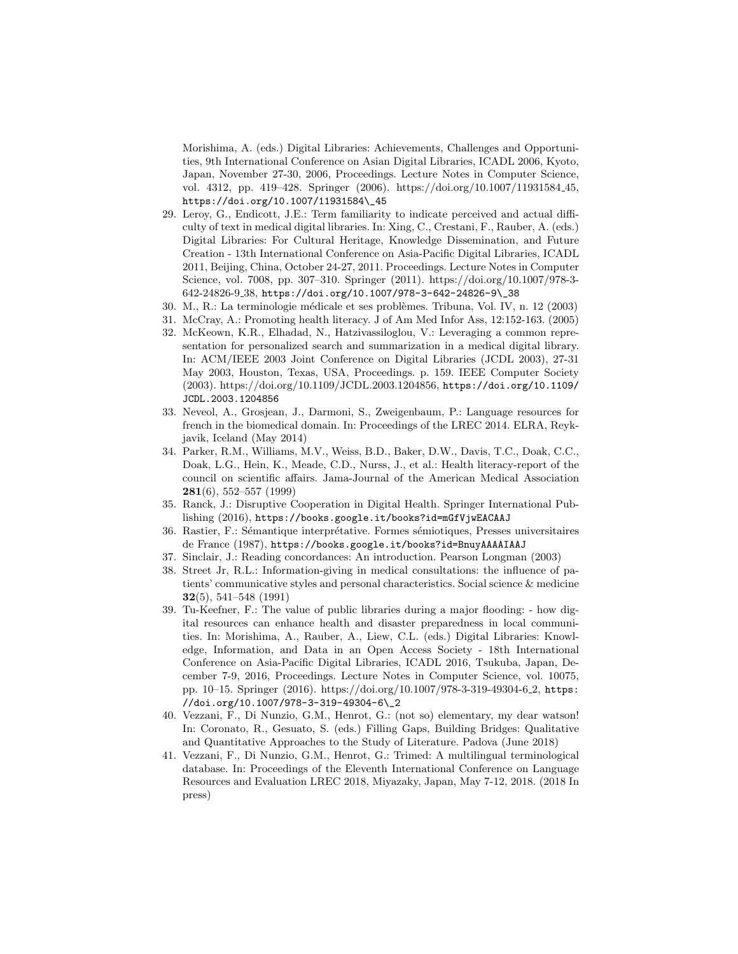Morishima, A. (eds.) Digital Libraries: Achievements, Challenges and Opportunities, 9th International Conference on Asian Digital Libraries, ICADL 2006, Kyoto, Japan, November 27-30, 2006, Proceedings. Lecture Notes in Computer Science, vol. 4312, pp. 419–428. Springer (2006). https://doi.org/10.1007/11931584 45, https://doi.org/10.1007/11931584\\_45

- 29. Leroy, G., Endicott, J.E.: Term familiarity to indicate perceived and actual difficulty of text in medical digital libraries. In: Xing, C., Crestani, F., Rauber, A. (eds.) Digital Libraries: For Cultural Heritage, Knowledge Dissemination, and Future Creation - 13th International Conference on Asia-Pacific Digital Libraries, ICADL 2011, Beijing, China, October 24-27, 2011. Proceedings. Lecture Notes in Computer Science, vol. 7008, pp. 307–310. Springer (2011). https://doi.org/10.1007/978-3- 642-24826-9 38, https://doi.org/10.1007/978-3-642-24826-9\\_38
- 30. M., R.: La terminologie médicale et ses problèmes. Tribuna, Vol. IV, n. 12 (2003)
- 31. McCray, A.: Promoting health literacy. J of Am Med Infor Ass, 12:152-163. (2005)
- 32. McKeown, K.R., Elhadad, N., Hatzivassiloglou, V.: Leveraging a common representation for personalized search and summarization in a medical digital library. In: ACM/IEEE 2003 Joint Conference on Digital Libraries (JCDL 2003), 27-31 May 2003, Houston, Texas, USA, Proceedings. p. 159. IEEE Computer Society (2003). https://doi.org/10.1109/JCDL.2003.1204856, https://doi.org/10.1109/ JCDL.2003.1204856
- 33. Neveol, A., Grosjean, J., Darmoni, S., Zweigenbaum, P.: Language resources for french in the biomedical domain. In: Proceedings of the LREC 2014. ELRA, Reykjavik, Iceland (May 2014)
- 34. Parker, R.M., Williams, M.V., Weiss, B.D., Baker, D.W., Davis, T.C., Doak, C.C., Doak, L.G., Hein, K., Meade, C.D., Nurss, J., et al.: Health literacy-report of the council on scientific affairs. Jama-Journal of the American Medical Association 281(6), 552–557 (1999)
- 35. Ranck, J.: Disruptive Cooperation in Digital Health. Springer International Publishing (2016), https://books.google.it/books?id=mGfVjwEACAAJ
- 36. Rastier, F.: Sémantique interprétative. Formes sémiotiques, Presses universitaires de France (1987), https://books.google.it/books?id=BnuyAAAAIAAJ
- 37. Sinclair, J.: Reading concordances: An introduction. Pearson Longman (2003)
- 38. Street Jr, R.L.: Information-giving in medical consultations: the influence of patients' communicative styles and personal characteristics. Social science & medicine 32(5), 541–548 (1991)
- 39. Tu-Keefner, F.: The value of public libraries during a major flooding: how digital resources can enhance health and disaster preparedness in local communities. In: Morishima, A., Rauber, A., Liew, C.L. (eds.) Digital Libraries: Knowledge, Information, and Data in an Open Access Society - 18th International Conference on Asia-Pacific Digital Libraries, ICADL 2016, Tsukuba, Japan, December 7-9, 2016, Proceedings. Lecture Notes in Computer Science, vol. 10075, pp. 10–15. Springer (2016). https://doi.org/10.1007/978-3-319-49304-6 2, https: //doi.org/10.1007/978-3-319-49304-6\\_2
- 40. Vezzani, F., Di Nunzio, G.M., Henrot, G.: (not so) elementary, my dear watson! In: Coronato, R., Gesuato, S. (eds.) Filling Gaps, Building Bridges: Qualitative and Quantitative Approaches to the Study of Literature. Padova (June 2018)
- 41. Vezzani, F., Di Nunzio, G.M., Henrot, G.: Trimed: A multilingual terminological database. In: Proceedings of the Eleventh International Conference on Language Resources and Evaluation LREC 2018, Miyazaky, Japan, May 7-12, 2018. (2018 In press)